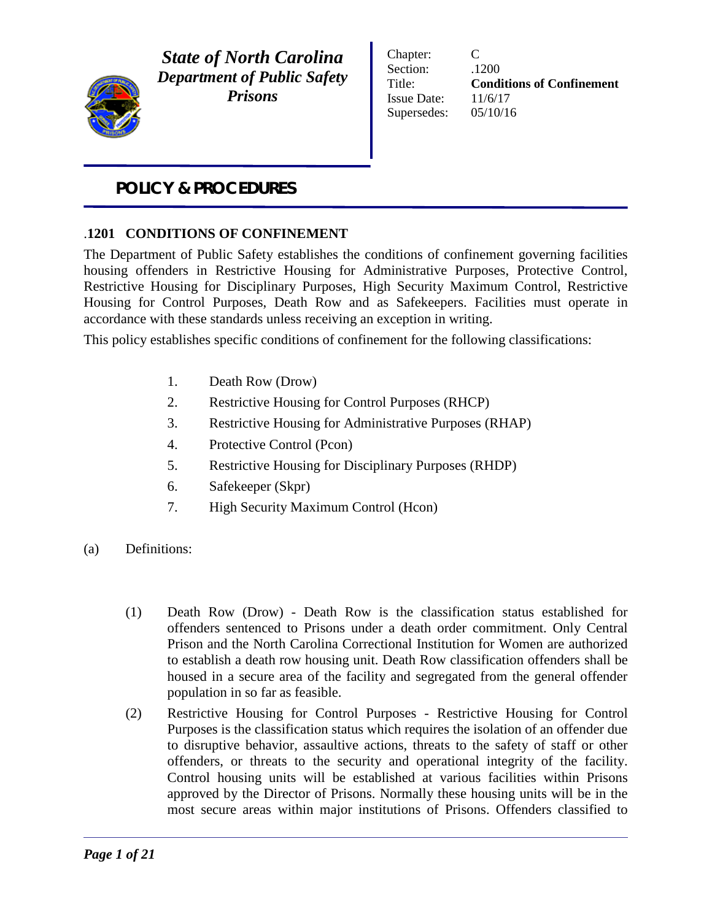

*State of North Carolina Department of Public Safety Prisons*

Chapter: C Section:  $.1200$ Title: **Conditions of Confinement** Issue Date: 11/6/17 Supersedes: 05/10/16

# *POLICY & PROCEDURES*

## .**1201 CONDITIONS OF CONFINEMENT**

The Department of Public Safety establishes the conditions of confinement governing facilities housing offenders in Restrictive Housing for Administrative Purposes, Protective Control, Restrictive Housing for Disciplinary Purposes, High Security Maximum Control, Restrictive Housing for Control Purposes, Death Row and as Safekeepers. Facilities must operate in accordance with these standards unless receiving an exception in writing.

This policy establishes specific conditions of confinement for the following classifications:

- 1. Death Row (Drow)
- 2. Restrictive Housing for Control Purposes (RHCP)
- 3. Restrictive Housing for Administrative Purposes (RHAP)
- 4. Protective Control (Pcon)
- 5. Restrictive Housing for Disciplinary Purposes (RHDP)
- 6. Safekeeper (Skpr)
- 7. High Security Maximum Control (Hcon)
- (a) Definitions:
	- (1) Death Row (Drow) Death Row is the classification status established for offenders sentenced to Prisons under a death order commitment. Only Central Prison and the North Carolina Correctional Institution for Women are authorized to establish a death row housing unit. Death Row classification offenders shall be housed in a secure area of the facility and segregated from the general offender population in so far as feasible.
	- (2) Restrictive Housing for Control Purposes Restrictive Housing for Control Purposes is the classification status which requires the isolation of an offender due to disruptive behavior, assaultive actions, threats to the safety of staff or other offenders, or threats to the security and operational integrity of the facility. Control housing units will be established at various facilities within Prisons approved by the Director of Prisons. Normally these housing units will be in the most secure areas within major institutions of Prisons. Offenders classified to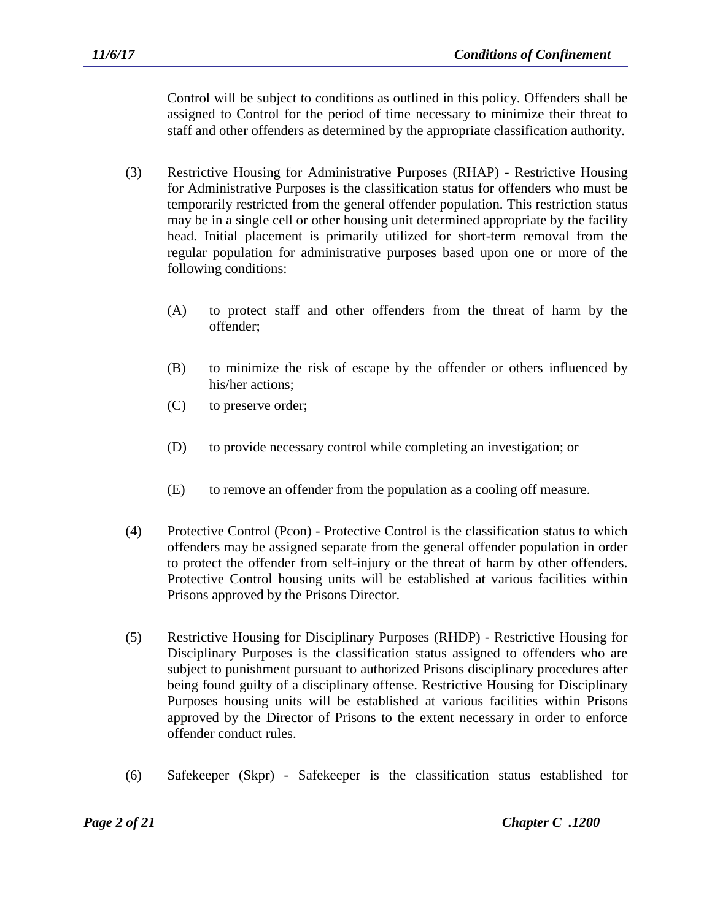Control will be subject to conditions as outlined in this policy. Offenders shall be assigned to Control for the period of time necessary to minimize their threat to staff and other offenders as determined by the appropriate classification authority.

- (3) Restrictive Housing for Administrative Purposes (RHAP) Restrictive Housing for Administrative Purposes is the classification status for offenders who must be temporarily restricted from the general offender population. This restriction status may be in a single cell or other housing unit determined appropriate by the facility head. Initial placement is primarily utilized for short-term removal from the regular population for administrative purposes based upon one or more of the following conditions:
	- (A) to protect staff and other offenders from the threat of harm by the offender;
	- (B) to minimize the risk of escape by the offender or others influenced by his/her actions;
	- (C) to preserve order;
	- (D) to provide necessary control while completing an investigation; or
	- (E) to remove an offender from the population as a cooling off measure.
- (4) Protective Control (Pcon) Protective Control is the classification status to which offenders may be assigned separate from the general offender population in order to protect the offender from self-injury or the threat of harm by other offenders. Protective Control housing units will be established at various facilities within Prisons approved by the Prisons Director.
- (5) Restrictive Housing for Disciplinary Purposes (RHDP) Restrictive Housing for Disciplinary Purposes is the classification status assigned to offenders who are subject to punishment pursuant to authorized Prisons disciplinary procedures after being found guilty of a disciplinary offense. Restrictive Housing for Disciplinary Purposes housing units will be established at various facilities within Prisons approved by the Director of Prisons to the extent necessary in order to enforce offender conduct rules.
- (6) Safekeeper (Skpr) Safekeeper is the classification status established for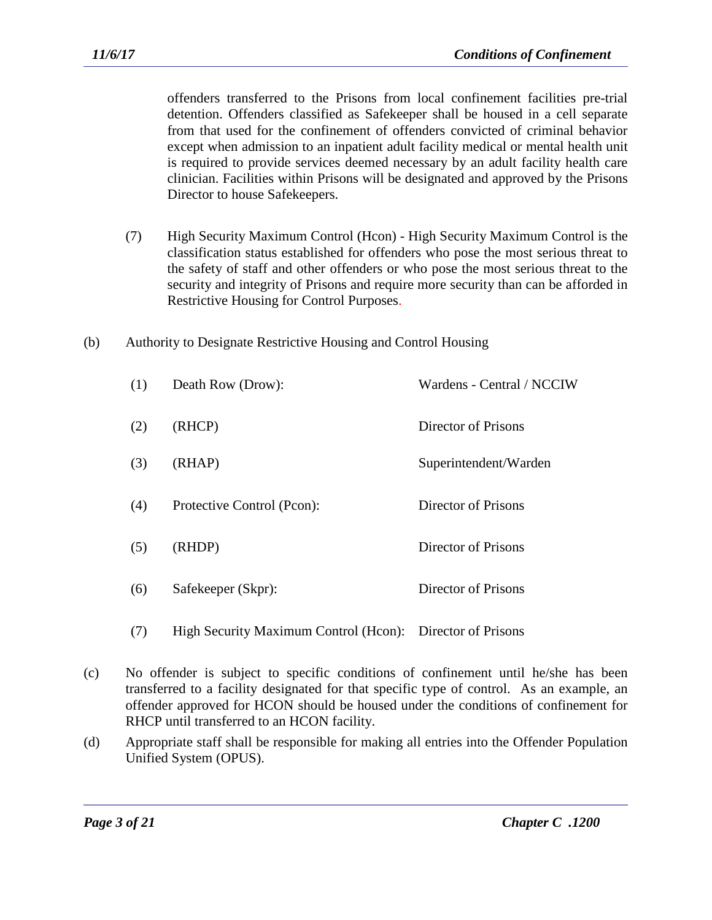offenders transferred to the Prisons from local confinement facilities pre-trial detention. Offenders classified as Safekeeper shall be housed in a cell separate from that used for the confinement of offenders convicted of criminal behavior except when admission to an inpatient adult facility medical or mental health unit is required to provide services deemed necessary by an adult facility health care clinician. Facilities within Prisons will be designated and approved by the Prisons Director to house Safekeepers.

- (7) High Security Maximum Control (Hcon) High Security Maximum Control is the classification status established for offenders who pose the most serious threat to the safety of staff and other offenders or who pose the most serious threat to the security and integrity of Prisons and require more security than can be afforded in Restrictive Housing for Control Purposes.
- (b) Authority to Designate Restrictive Housing and Control Housing

| (1) | Death Row (Drow):          | Wardens - Central / NCCIW |
|-----|----------------------------|---------------------------|
| (2) | (RHCP)                     | Director of Prisons       |
| (3) | (RHAP)                     | Superintendent/Warden     |
| (4) | Protective Control (Pcon): | Director of Prisons       |
| (5) | (RHDP)                     | Director of Prisons       |
| (6) | Safekeeper (Skpr):         | Director of Prisons       |
|     |                            |                           |

- (7) High Security Maximum Control (Hcon): Director of Prisons
- (c) No offender is subject to specific conditions of confinement until he/she has been transferred to a facility designated for that specific type of control. As an example, an offender approved for HCON should be housed under the conditions of confinement for RHCP until transferred to an HCON facility.
- (d) Appropriate staff shall be responsible for making all entries into the Offender Population Unified System (OPUS).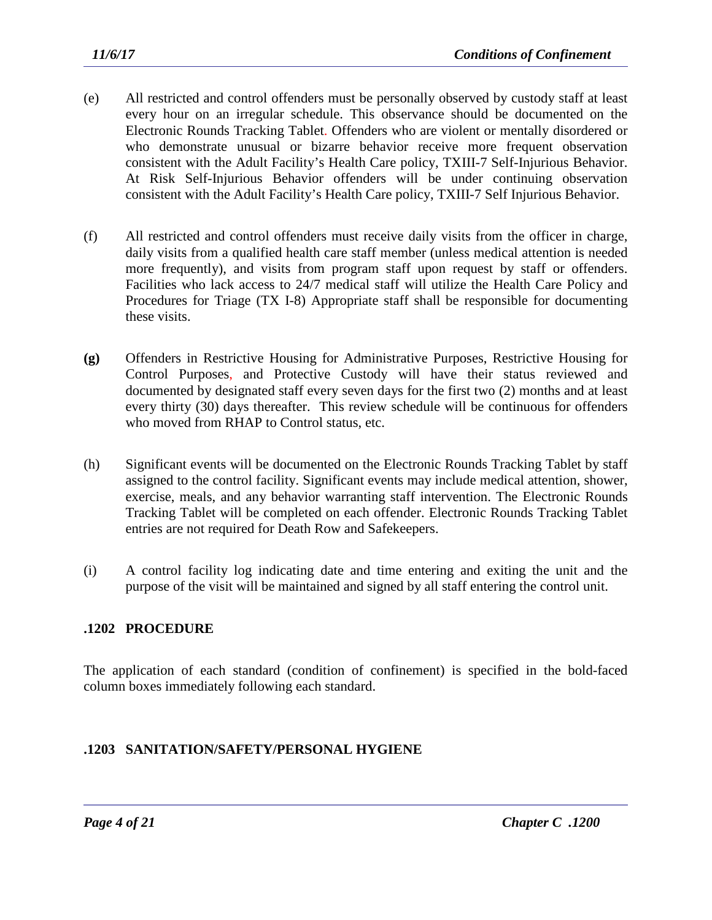- (e) All restricted and control offenders must be personally observed by custody staff at least every hour on an irregular schedule. This observance should be documented on the Electronic Rounds Tracking Tablet. Offenders who are violent or mentally disordered or who demonstrate unusual or bizarre behavior receive more frequent observation consistent with the Adult Facility's Health Care policy, TXIII-7 Self-Injurious Behavior. At Risk Self-Injurious Behavior offenders will be under continuing observation consistent with the Adult Facility's Health Care policy, TXIII-7 Self Injurious Behavior.
- (f) All restricted and control offenders must receive daily visits from the officer in charge, daily visits from a qualified health care staff member (unless medical attention is needed more frequently), and visits from program staff upon request by staff or offenders. Facilities who lack access to 24/7 medical staff will utilize the Health Care Policy and Procedures for Triage (TX I-8) Appropriate staff shall be responsible for documenting these visits.
- **(g)** Offenders in Restrictive Housing for Administrative Purposes, Restrictive Housing for Control Purposes, and Protective Custody will have their status reviewed and documented by designated staff every seven days for the first two (2) months and at least every thirty (30) days thereafter. This review schedule will be continuous for offenders who moved from RHAP to Control status, etc.
- (h) Significant events will be documented on the Electronic Rounds Tracking Tablet by staff assigned to the control facility. Significant events may include medical attention, shower, exercise, meals, and any behavior warranting staff intervention. The Electronic Rounds Tracking Tablet will be completed on each offender. Electronic Rounds Tracking Tablet entries are not required for Death Row and Safekeepers.
- (i) A control facility log indicating date and time entering and exiting the unit and the purpose of the visit will be maintained and signed by all staff entering the control unit.

## **.1202 PROCEDURE**

The application of each standard (condition of confinement) is specified in the bold-faced column boxes immediately following each standard.

## **.1203 SANITATION/SAFETY/PERSONAL HYGIENE**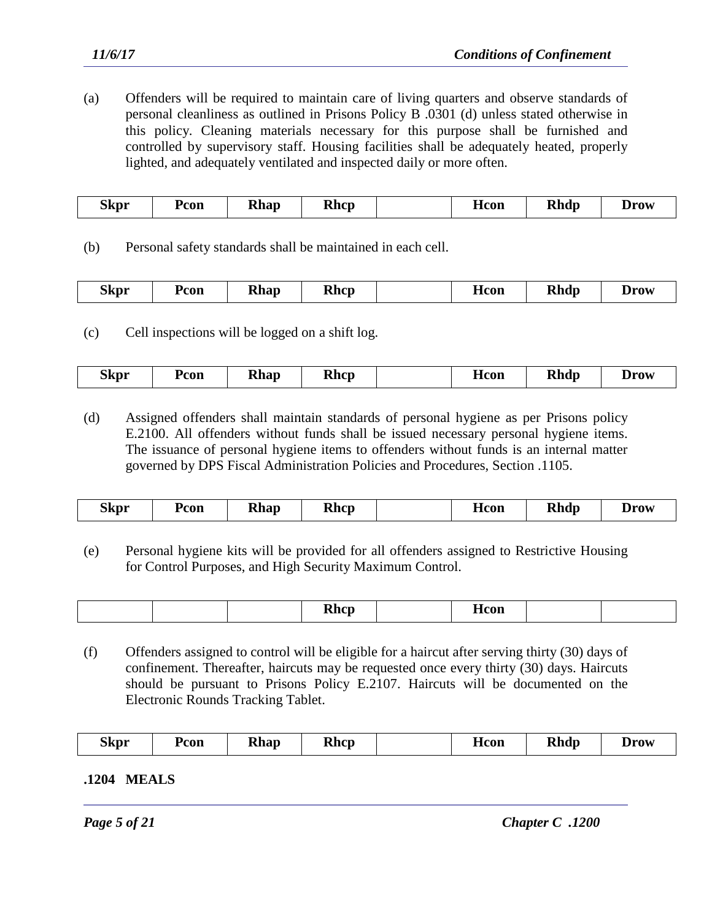(a) Offenders will be required to maintain care of living quarters and observe standards of personal cleanliness as outlined in Prisons Policy B .0301 (d) unless stated otherwise in this policy. Cleaning materials necessary for this purpose shall be furnished and controlled by supervisory staff. Housing facilities shall be adequately heated, properly lighted, and adequately ventilated and inspected daily or more often.

| $\sim$<br><b>Rhap</b><br>Ycon<br>Skpr<br>- | <b>Rhcp</b> | Hcon | <b>Rhdp</b> | Drow |
|--------------------------------------------|-------------|------|-------------|------|
|--------------------------------------------|-------------|------|-------------|------|

(b) Personal safety standards shall be maintained in each cell.

|  | $\sim$<br>5kpr | Pcon | מח<br>$- - - -$ | Dhan<br><b>TTIIC</b> |  | -lcon | Dĥ<br><b>Rhdp</b> | Jrow<br>-- |
|--|----------------|------|-----------------|----------------------|--|-------|-------------------|------------|
|--|----------------|------|-----------------|----------------------|--|-------|-------------------|------------|

(c) Cell inspections will be logged on a shift log.

|  | <b>Skpr</b> | Pcon | <b>Rhap</b> | Rhcr |  | Hcon | <b>Rhdp</b> | Drow |
|--|-------------|------|-------------|------|--|------|-------------|------|
|--|-------------|------|-------------|------|--|------|-------------|------|

(d) Assigned offenders shall maintain standards of personal hygiene as per Prisons policy E.2100. All offenders without funds shall be issued necessary personal hygiene items. The issuance of personal hygiene items to offenders without funds is an internal matter governed by DPS Fiscal Administration Policies and Procedures, Section .1105.

| ~-<br><b>Rhdp</b><br><b>Rhcp</b><br><b>Rhap</b><br>.3kpr<br>Pcon<br>dcon | <b>Drow</b> |
|--------------------------------------------------------------------------|-------------|
|--------------------------------------------------------------------------|-------------|

(e) Personal hygiene kits will be provided for all offenders assigned to Restrictive Housing for Control Purposes, and High Security Maximum Control.

| $\sim$ |
|--------|
|--------|

(f) Offenders assigned to control will be eligible for a haircut after serving thirty (30) days of confinement. Thereafter, haircuts may be requested once every thirty (30) days. Haircuts should be pursuant to Prisons Policy E.2107. Haircuts will be documented on the Electronic Rounds Tracking Tablet.

**.1204 MEALS**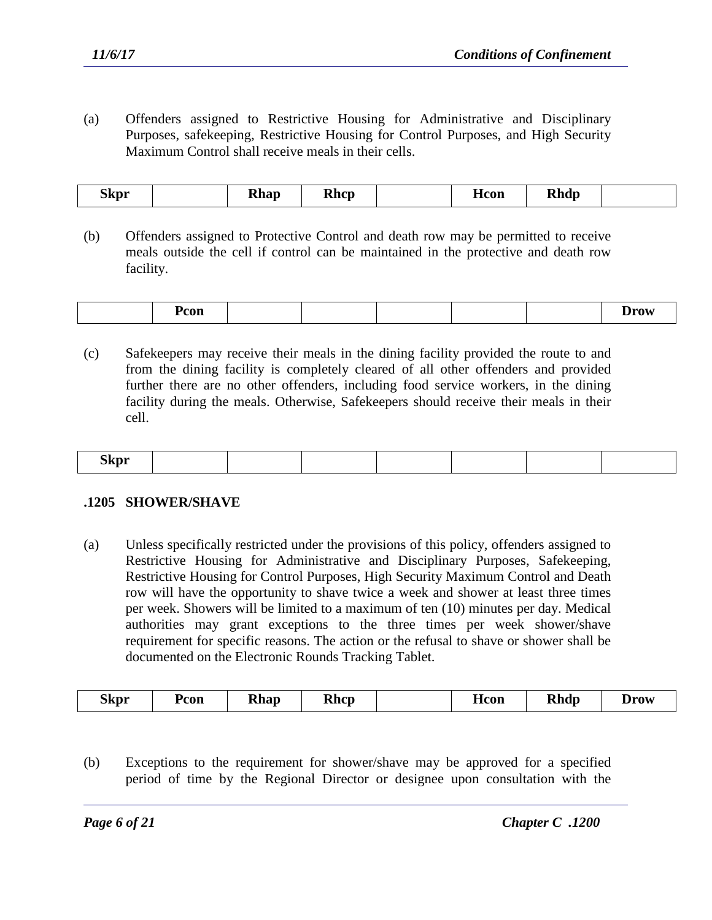(a) Offenders assigned to Restrictive Housing for Administrative and Disciplinary Purposes, safekeeping, Restrictive Housing for Control Purposes, and High Security Maximum Control shall receive meals in their cells.

| --<br>Skpr<br>- |  | <b>Rhap</b> | <b>Rhcp</b> |  | <b>H</b> con | Dhdn<br><b>NIIUD</b> |  |
|-----------------|--|-------------|-------------|--|--------------|----------------------|--|
|-----------------|--|-------------|-------------|--|--------------|----------------------|--|

(b) Offenders assigned to Protective Control and death row may be permitted to receive meals outside the cell if control can be maintained in the protective and death row facility.

| Pcon |  |  |  |  | Drov |
|------|--|--|--|--|------|
|------|--|--|--|--|------|

(c) Safekeepers may receive their meals in the dining facility provided the route to and from the dining facility is completely cleared of all other offenders and provided further there are no other offenders, including food service workers, in the dining facility during the meals. Otherwise, Safekeepers should receive their meals in their cell.

| ---<br>5kpr |  |  |  |  |
|-------------|--|--|--|--|
|             |  |  |  |  |

### **.1205 SHOWER/SHAVE**

(a) Unless specifically restricted under the provisions of this policy, offenders assigned to Restrictive Housing for Administrative and Disciplinary Purposes, Safekeeping, Restrictive Housing for Control Purposes, High Security Maximum Control and Death row will have the opportunity to shave twice a week and shower at least three times per week. Showers will be limited to a maximum of ten (10) minutes per day. Medical authorities may grant exceptions to the three times per week shower/shave requirement for specific reasons. The action or the refusal to shave or shower shall be documented on the Electronic Rounds Tracking Tablet.

|--|

(b) Exceptions to the requirement for shower/shave may be approved for a specified period of time by the Regional Director or designee upon consultation with the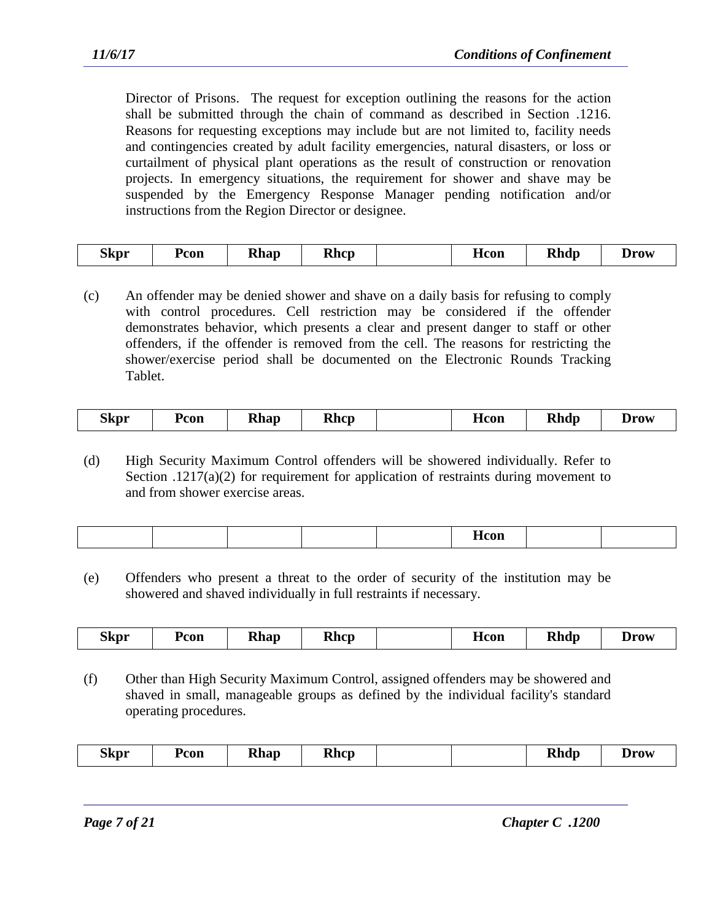Director of Prisons. The request for exception outlining the reasons for the action shall be submitted through the chain of command as described in Section .1216. Reasons for requesting exceptions may include but are not limited to, facility needs and contingencies created by adult facility emergencies, natural disasters, or loss or curtailment of physical plant operations as the result of construction or renovation projects. In emergency situations, the requirement for shower and shave may be suspended by the Emergency Response Manager pending notification and/or instructions from the Region Director or designee.

| <b>Rhdp</b><br><b>Rhap</b><br><b>Rhcp</b><br>Pcon<br>Skpr<br>Drow<br><b>H</b> con |
|-----------------------------------------------------------------------------------|
|-----------------------------------------------------------------------------------|

(c) An offender may be denied shower and shave on a daily basis for refusing to comply with control procedures. Cell restriction may be considered if the offender demonstrates behavior, which presents a clear and present danger to staff or other offenders, if the offender is removed from the cell. The reasons for restricting the shower/exercise period shall be documented on the Electronic Rounds Tracking Tablet.

| <b>Rhdp</b><br>Rhap<br>Rhcp<br>Skpr<br>Pcon<br>Drow<br>Acon |
|-------------------------------------------------------------|
|-------------------------------------------------------------|

(d) High Security Maximum Control offenders will be showered individually. Refer to Section .1217(a)(2) for requirement for application of restraints during movement to and from shower exercise areas.

|  |  | ------- |  |
|--|--|---------|--|
|  |  |         |  |

(e) Offenders who present a threat to the order of security of the institution may be showered and shaved individually in full restraints if necessary.

| Pcon<br>Hcon<br><b>Drow</b> | <b>Skpr</b> |  | <b>Rhap</b> | <b>Rhcp</b> |  |  | <b>Rhdp</b> |  |
|-----------------------------|-------------|--|-------------|-------------|--|--|-------------|--|
|-----------------------------|-------------|--|-------------|-------------|--|--|-------------|--|

(f) Other than High Security Maximum Control, assigned offenders may be showered and shaved in small, manageable groups as defined by the individual facility's standard operating procedures.

| ~-<br><b>Rhap</b><br>Skpr<br>Pcon | <b>Rhcp</b> |  |  | <b>Rhdp</b> | <b>Drow</b> |
|-----------------------------------|-------------|--|--|-------------|-------------|
|-----------------------------------|-------------|--|--|-------------|-------------|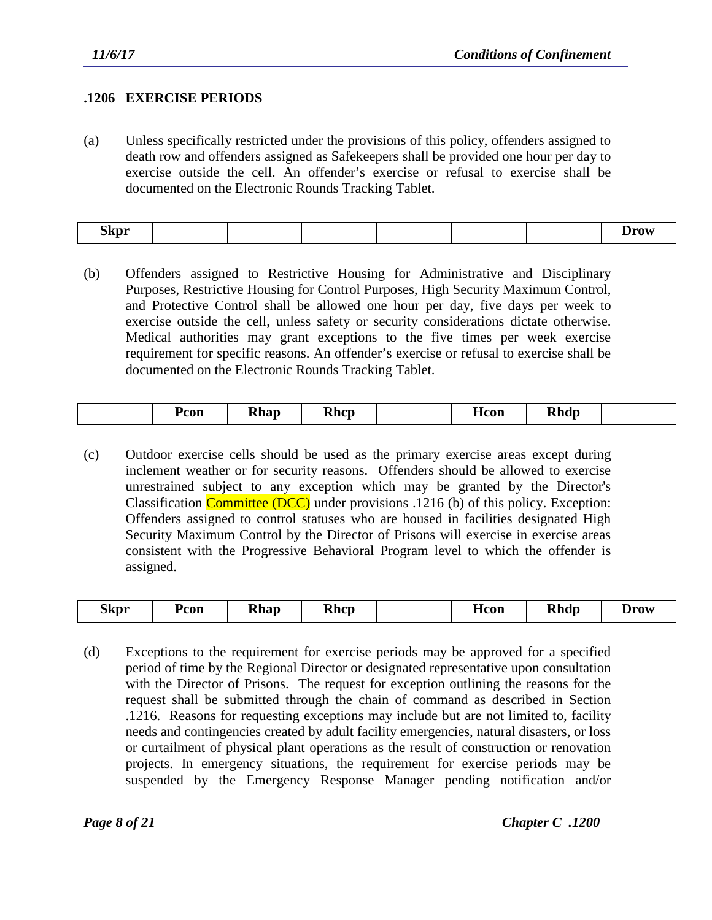## **.1206 EXERCISE PERIODS**

(a) Unless specifically restricted under the provisions of this policy, offenders assigned to death row and offenders assigned as Safekeepers shall be provided one hour per day to exercise outside the cell. An offender's exercise or refusal to exercise shall be documented on the Electronic Rounds Tracking Tablet.

| <b>Skpr</b><br>- | <b>IPATT</b><br>-- |
|------------------|--------------------|
|------------------|--------------------|

(b) Offenders assigned to Restrictive Housing for Administrative and Disciplinary Purposes, Restrictive Housing for Control Purposes, High Security Maximum Control, and Protective Control shall be allowed one hour per day, five days per week to exercise outside the cell, unless safety or security considerations dictate otherwise. Medical authorities may grant exceptions to the five times per week exercise requirement for specific reasons. An offender's exercise or refusal to exercise shall be documented on the Electronic Rounds Tracking Tablet.

| <b>Rhdp</b><br>Dhan<br>Rhcp<br>Pcon<br><b>H</b> con<br><b>NIIA</b> V<br>- |
|---------------------------------------------------------------------------|
|---------------------------------------------------------------------------|

(c) Outdoor exercise cells should be used as the primary exercise areas except during inclement weather or for security reasons. Offenders should be allowed to exercise unrestrained subject to any exception which may be granted by the Director's Classification **Committee (DCC)** under provisions .1216 (b) of this policy. Exception: Offenders assigned to control statuses who are housed in facilities designated High Security Maximum Control by the Director of Prisons will exercise in exercise areas consistent with the Progressive Behavioral Program level to which the offender is assigned.

| --<br>Skpr | Pcon | <b>Rhap</b> | <b>Rhcp</b> |  | Hcon | <b>Rhdp</b> | Drow |
|------------|------|-------------|-------------|--|------|-------------|------|
|------------|------|-------------|-------------|--|------|-------------|------|

(d) Exceptions to the requirement for exercise periods may be approved for a specified period of time by the Regional Director or designated representative upon consultation with the Director of Prisons. The request for exception outlining the reasons for the request shall be submitted through the chain of command as described in Section .1216. Reasons for requesting exceptions may include but are not limited to, facility needs and contingencies created by adult facility emergencies, natural disasters, or loss or curtailment of physical plant operations as the result of construction or renovation projects. In emergency situations, the requirement for exercise periods may be suspended by the Emergency Response Manager pending notification and/or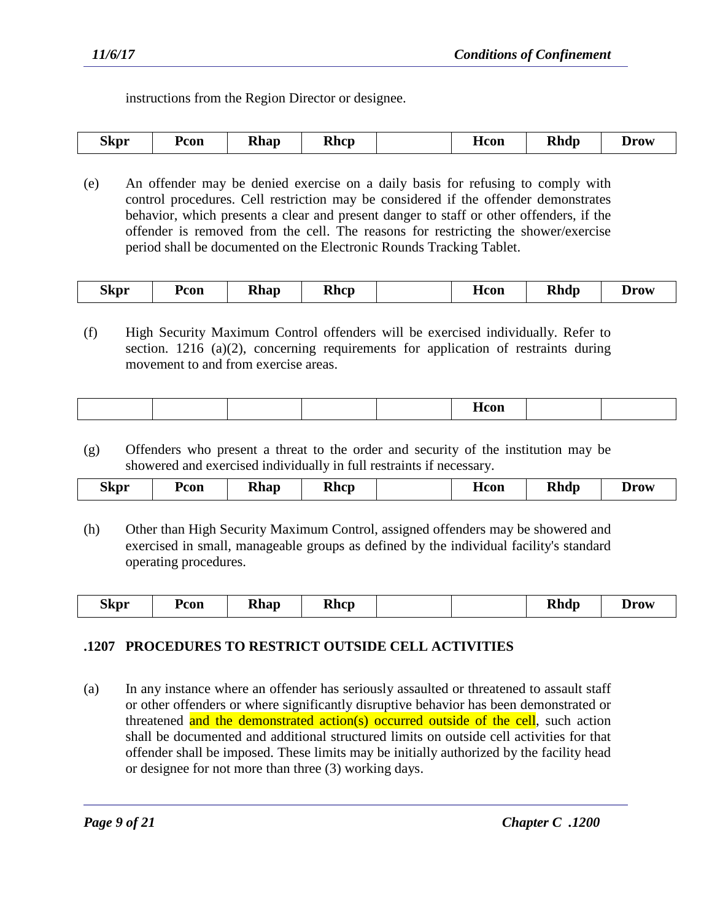instructions from the Region Director or designee.

| <b>Skpr</b> | Pcon | <b>Rhap</b><br>- | <b>Rhcp</b> |  | Hcon | <b>Rhdp</b> | Drow |
|-------------|------|------------------|-------------|--|------|-------------|------|
|-------------|------|------------------|-------------|--|------|-------------|------|

(e) An offender may be denied exercise on a daily basis for refusing to comply with control procedures. Cell restriction may be considered if the offender demonstrates behavior, which presents a clear and present danger to staff or other offenders, if the offender is removed from the cell. The reasons for restricting the shower/exercise period shall be documented on the Electronic Rounds Tracking Tablet.

| $\sim$<br><b>Rhdp</b><br><b>Rhap</b><br><b>Rhcp</b><br>Pcon?<br>Skpr<br>Drow<br><b>H</b> con<br>- |
|---------------------------------------------------------------------------------------------------|
|---------------------------------------------------------------------------------------------------|

(f) High Security Maximum Control offenders will be exercised individually. Refer to section. 1216 (a)(2), concerning requirements for application of restraints during movement to and from exercise areas.

|--|

(g) Offenders who present a threat to the order and security of the institution may be showered and exercised individually in full restraints if necessary.

| <b>Rhap</b><br><b>Rhdp</b><br><b>Rhcp</b><br>Skpr<br>Pcon<br><b>Drow</b><br>псоп<br>____<br>- |
|-----------------------------------------------------------------------------------------------|
|-----------------------------------------------------------------------------------------------|

(h) Other than High Security Maximum Control, assigned offenders may be showered and exercised in small, manageable groups as defined by the individual facility's standard operating procedures.

## **.1207 PROCEDURES TO RESTRICT OUTSIDE CELL ACTIVITIES**

(a) In any instance where an offender has seriously assaulted or threatened to assault staff or other offenders or where significantly disruptive behavior has been demonstrated or threatened and the demonstrated action(s) occurred outside of the cell, such action shall be documented and additional structured limits on outside cell activities for that offender shall be imposed. These limits may be initially authorized by the facility head or designee for not more than three (3) working days.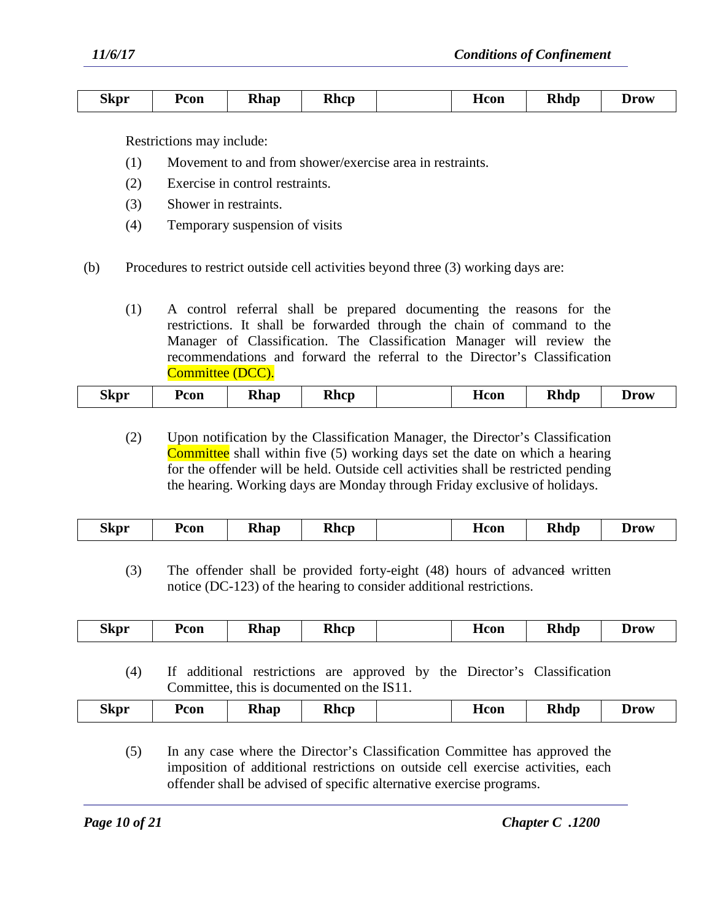| <b>Skpr</b> | Pcon | <b>Rhap</b> | <b>Rhcp</b> | Hcon | <b>Rhdp</b> | Drow |
|-------------|------|-------------|-------------|------|-------------|------|
|             |      |             |             |      |             |      |

Restrictions may include:

- (1) Movement to and from shower/exercise area in restraints.
- (2) Exercise in control restraints.
- (3) Shower in restraints.
- (4) Temporary suspension of visits
- (b) Procedures to restrict outside cell activities beyond three (3) working days are:
	- (1) A control referral shall be prepared documenting the reasons for the restrictions. It shall be forwarded through the chain of command to the Manager of Classification. The Classification Manager will review the recommendations and forward the referral to the Director's Classification Committee (DCC).

| the contract of the contract of the | --<br>.3kpr | 'con | Rhap | <b>Rhcp</b> |  | Hcon | <b>Rhdp</b> | Jrow |
|-------------------------------------|-------------|------|------|-------------|--|------|-------------|------|
|-------------------------------------|-------------|------|------|-------------|--|------|-------------|------|

(2) Upon notification by the Classification Manager, the Director's Classification Committee shall within five (5) working days set the date on which a hearing for the offender will be held. Outside cell activities shall be restricted pending the hearing. Working days are Monday through Friday exclusive of holidays.

|  | <b>Skpr</b> | Pcon | <b>Rhap</b> | <b>Rhcp</b> |  | <b>H</b> con | <b>Rhdp</b> | <b>Drow</b> |
|--|-------------|------|-------------|-------------|--|--------------|-------------|-------------|
|--|-------------|------|-------------|-------------|--|--------------|-------------|-------------|

(3) The offender shall be provided forty-eight (48) hours of advanced written notice (DC-123) of the hearing to consider additional restrictions.

| <b>Skpr</b><br>--<br>--<br><b>Rhdp</b><br><b>Rhcp</b><br><b>Rhap</b><br>Hcon<br>Pcon<br>Drow |
|----------------------------------------------------------------------------------------------|
|----------------------------------------------------------------------------------------------|

(4) If additional restrictions are approved by the Director's Classification Committee, this is documented on the IS11.

| n,<br>Skpr | Pcon | <b>Rhap</b> | <b>Rhcp</b> | Hcon | <b>Rhdp</b> | <b>Drow</b> |
|------------|------|-------------|-------------|------|-------------|-------------|
|            |      |             |             |      |             |             |

(5) In any case where the Director's Classification Committee has approved the imposition of additional restrictions on outside cell exercise activities, each offender shall be advised of specific alternative exercise programs.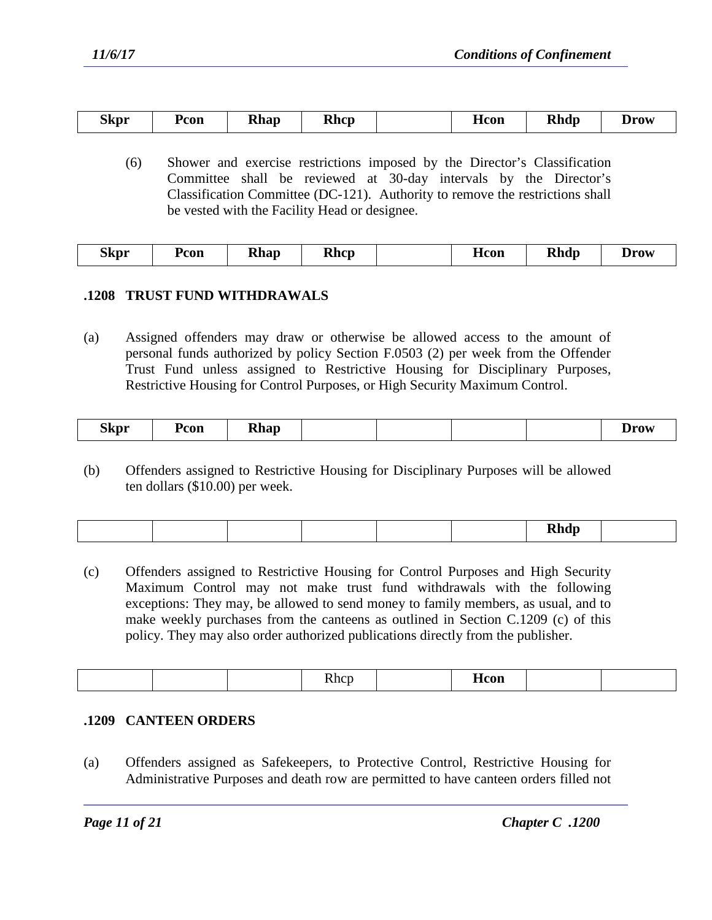| Skpr | Pcon | <b>Rhap</b> | <b>Rhcp</b> |  | <b>H</b> con | <b>Rhdp</b> | Drow |
|------|------|-------------|-------------|--|--------------|-------------|------|
|------|------|-------------|-------------|--|--------------|-------------|------|

(6) Shower and exercise restrictions imposed by the Director's Classification Committee shall be reviewed at 30-day intervals by the Director's Classification Committee (DC-121). Authority to remove the restrictions shall be vested with the Facility Head or designee.

| <b>Skpr</b><br><b>Rhdp</b><br><b>Rhcp</b><br>Pcon<br>Drow<br>Hcon<br>$'$ home<br><b>TAIRS</b> |
|-----------------------------------------------------------------------------------------------|
|-----------------------------------------------------------------------------------------------|

## **.1208 TRUST FUND WITHDRAWALS**

(a) Assigned offenders may draw or otherwise be allowed access to the amount of personal funds authorized by policy Section F.0503 (2) per week from the Offender Trust Fund unless assigned to Restrictive Housing for Disciplinary Purposes, Restrictive Housing for Control Purposes, or High Security Maximum Control.

| <b>Skpr</b><br>Pcon<br><b>Rhap</b><br>- | Jrow |
|-----------------------------------------|------|
|-----------------------------------------|------|

(b) Offenders assigned to Restrictive Housing for Disciplinary Purposes will be allowed ten dollars (\$10.00) per week.

|--|

(c) Offenders assigned to Restrictive Housing for Control Purposes and High Security Maximum Control may not make trust fund withdrawals with the following exceptions: They may, be allowed to send money to family members, as usual, and to make weekly purchases from the canteens as outlined in Section C.1209 (c) of this policy. They may also order authorized publications directly from the publisher.

|--|

### **.1209 CANTEEN ORDERS**

(a) Offenders assigned as Safekeepers, to Protective Control, Restrictive Housing for Administrative Purposes and death row are permitted to have canteen orders filled not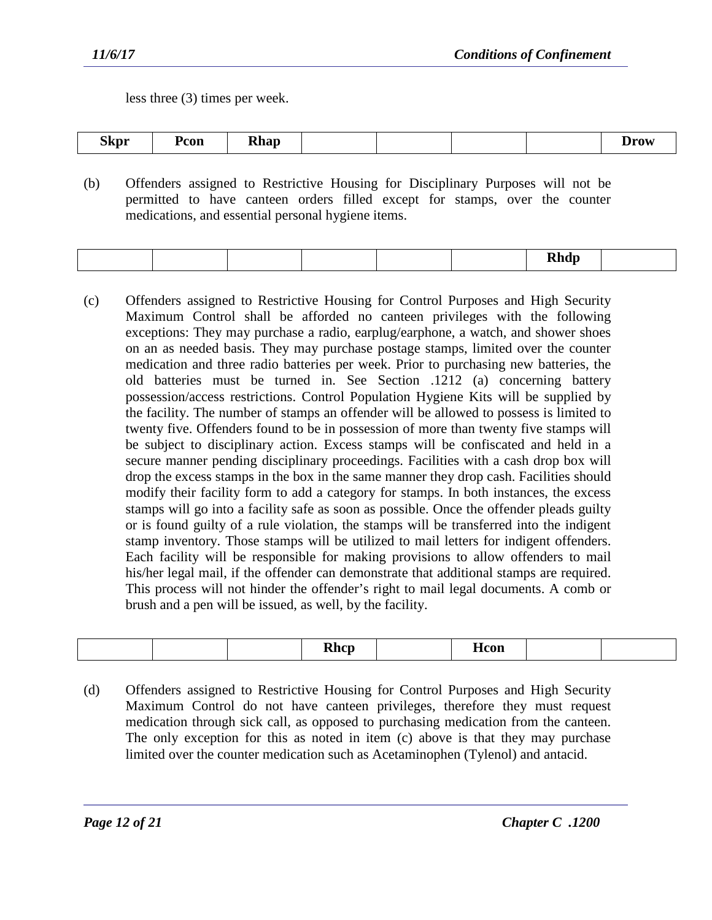less three (3) times per week.

| ---<br><b>Rhap</b><br>Pcon<br>Skpr |  |  |  | $\mathbf{m}$<br>້ |
|------------------------------------|--|--|--|-------------------|
|------------------------------------|--|--|--|-------------------|

(b) Offenders assigned to Restrictive Housing for Disciplinary Purposes will not be permitted to have canteen orders filled except for stamps, over the counter medications, and essential personal hygiene items.

| ---- |
|------|
|------|

(c) Offenders assigned to Restrictive Housing for Control Purposes and High Security Maximum Control shall be afforded no canteen privileges with the following exceptions: They may purchase a radio, earplug/earphone, a watch, and shower shoes on an as needed basis. They may purchase postage stamps, limited over the counter medication and three radio batteries per week. Prior to purchasing new batteries, the old batteries must be turned in. See Section .1212 (a) concerning battery possession/access restrictions. Control Population Hygiene Kits will be supplied by the facility. The number of stamps an offender will be allowed to possess is limited to twenty five. Offenders found to be in possession of more than twenty five stamps will be subject to disciplinary action. Excess stamps will be confiscated and held in a secure manner pending disciplinary proceedings. Facilities with a cash drop box will drop the excess stamps in the box in the same manner they drop cash. Facilities should modify their facility form to add a category for stamps. In both instances, the excess stamps will go into a facility safe as soon as possible. Once the offender pleads guilty or is found guilty of a rule violation, the stamps will be transferred into the indigent stamp inventory. Those stamps will be utilized to mail letters for indigent offenders. Each facility will be responsible for making provisions to allow offenders to mail his/her legal mail, if the offender can demonstrate that additional stamps are required. This process will not hinder the offender's right to mail legal documents. A comb or brush and a pen will be issued, as well, by the facility.

| Dhan<br>$\sim$ $\sim$ $\sim$<br>wu<br>w<br>---- |
|-------------------------------------------------|
|-------------------------------------------------|

(d) Offenders assigned to Restrictive Housing for Control Purposes and High Security Maximum Control do not have canteen privileges, therefore they must request medication through sick call, as opposed to purchasing medication from the canteen. The only exception for this as noted in item (c) above is that they may purchase limited over the counter medication such as Acetaminophen (Tylenol) and antacid.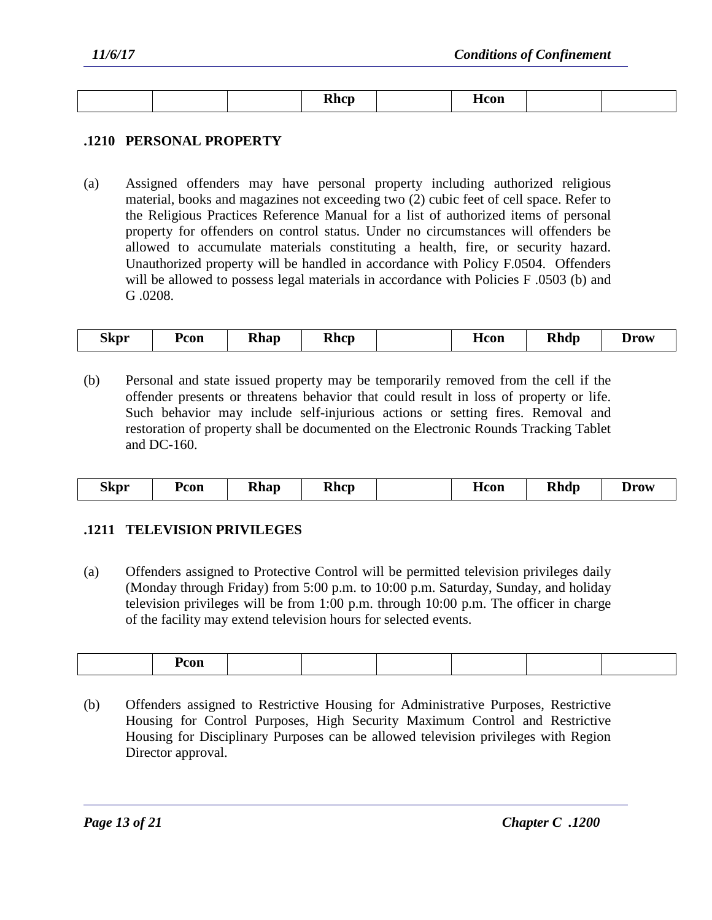|  | , <b>1.</b><br>----- | - - --<br>псон |  |
|--|----------------------|----------------|--|

## **.1210 PERSONAL PROPERTY**

(a) Assigned offenders may have personal property including authorized religious material, books and magazines not exceeding two (2) cubic feet of cell space. Refer to the Religious Practices Reference Manual for a list of authorized items of personal property for offenders on control status. Under no circumstances will offenders be allowed to accumulate materials constituting a health, fire, or security hazard. Unauthorized property will be handled in accordance with Policy F.0504. Offenders will be allowed to possess legal materials in accordance with Policies F.0503 (b) and G .0208.

| <b>Rhcp</b><br><b>Rhap</b><br>Skpr<br>Pcon<br>Hcon | <b>Rhdp</b><br>Drow |
|----------------------------------------------------|---------------------|
|----------------------------------------------------|---------------------|

(b) Personal and state issued property may be temporarily removed from the cell if the offender presents or threatens behavior that could result in loss of property or life. Such behavior may include self-injurious actions or setting fires. Removal and restoration of property shall be documented on the Electronic Rounds Tracking Tablet and DC-160.

| ---<br><b>Rhap</b><br><b>Rhcp</b><br><b>Skpr</b><br>Pcon | Hcon | <b>Rhdp</b><br><b>Drow</b> |
|----------------------------------------------------------|------|----------------------------|
|----------------------------------------------------------|------|----------------------------|

### **.1211 TELEVISION PRIVILEGES**

(a) Offenders assigned to Protective Control will be permitted television privileges daily (Monday through Friday) from 5:00 p.m. to 10:00 p.m. Saturday, Sunday, and holiday television privileges will be from 1:00 p.m. through 10:00 p.m. The officer in charge of the facility may extend television hours for selected events.

| .<br>COIL |  |  |  |
|-----------|--|--|--|
|           |  |  |  |

(b) Offenders assigned to Restrictive Housing for Administrative Purposes, Restrictive Housing for Control Purposes, High Security Maximum Control and Restrictive Housing for Disciplinary Purposes can be allowed television privileges with Region Director approval.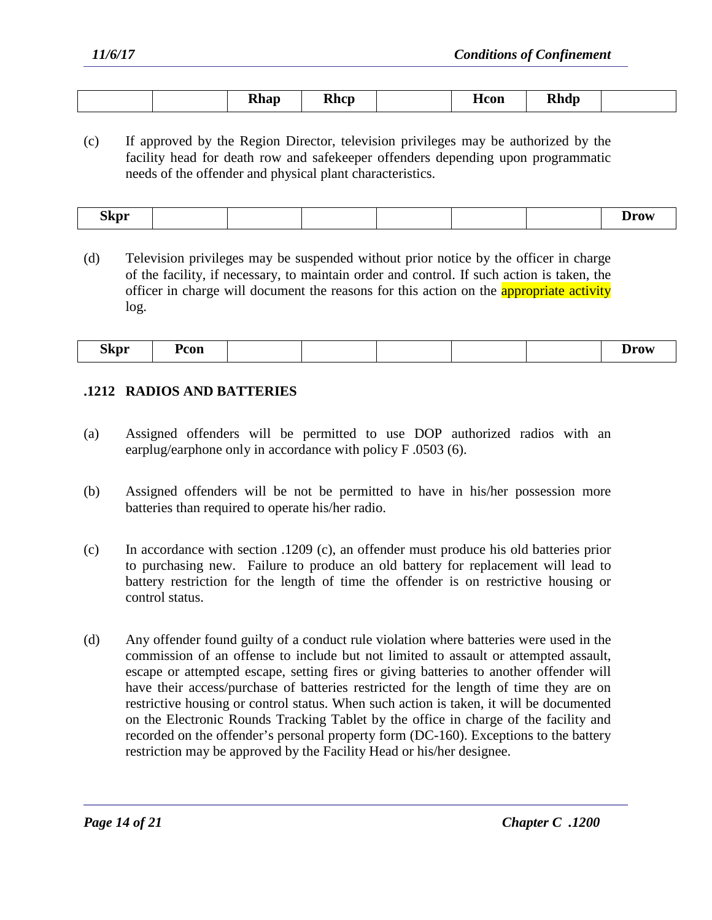| <b>Rhcp</b><br>$\mathbf{h}$<br>$ \cdots$<br>- | <b>H</b> con<br>'b da<br>------ |  |
|-----------------------------------------------|---------------------------------|--|
|-----------------------------------------------|---------------------------------|--|

(c) If approved by the Region Director, television privileges may be authorized by the facility head for death row and safekeeper offenders depending upon programmatic needs of the offender and physical plant characteristics.

| <b>Skpr</b><br>- |  |  |  |  |  |  | <b>Trov</b><br><b>DIV</b> |
|------------------|--|--|--|--|--|--|---------------------------|
|------------------|--|--|--|--|--|--|---------------------------|

(d) Television privileges may be suspended without prior notice by the officer in charge of the facility, if necessary, to maintain order and control. If such action is taken, the officer in charge will document the reasons for this action on the **appropriate activity** log.

| ~-<br><b>Skpr</b><br>- | Pcon |  |  | Drow |
|------------------------|------|--|--|------|
|                        |      |  |  |      |

### **.1212 RADIOS AND BATTERIES**

- (a) Assigned offenders will be permitted to use DOP authorized radios with an earplug/earphone only in accordance with policy F .0503 (6).
- (b) Assigned offenders will be not be permitted to have in his/her possession more batteries than required to operate his/her radio.
- (c) In accordance with section .1209 (c), an offender must produce his old batteries prior to purchasing new. Failure to produce an old battery for replacement will lead to battery restriction for the length of time the offender is on restrictive housing or control status.
- (d) Any offender found guilty of a conduct rule violation where batteries were used in the commission of an offense to include but not limited to assault or attempted assault, escape or attempted escape, setting fires or giving batteries to another offender will have their access/purchase of batteries restricted for the length of time they are on restrictive housing or control status. When such action is taken, it will be documented on the Electronic Rounds Tracking Tablet by the office in charge of the facility and recorded on the offender's personal property form (DC-160). Exceptions to the battery restriction may be approved by the Facility Head or his/her designee.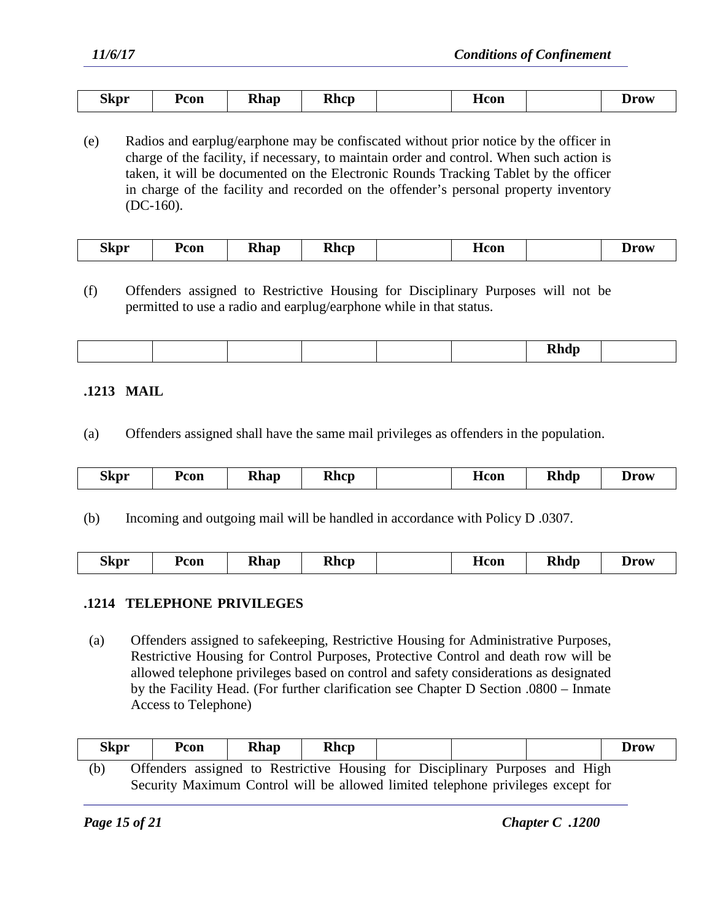| nı<br>Skpr<br>- | Pcon | llhan<br>Allav | <b>Rhcp</b> | Hcon | 1rou |
|-----------------|------|----------------|-------------|------|------|

(e) Radios and earplug/earphone may be confiscated without prior notice by the officer in charge of the facility, if necessary, to maintain order and control. When such action is taken, it will be documented on the Electronic Rounds Tracking Tablet by the officer in charge of the facility and recorded on the offender's personal property inventory (DC-160).

| --<br>Pcon<br>'h on<br>Hcon<br><b>Khap</b><br>Skpr<br>1 wat<br>кись |
|---------------------------------------------------------------------|
|---------------------------------------------------------------------|

(f) Offenders assigned to Restrictive Housing for Disciplinary Purposes will not be permitted to use a radio and earplug/earphone while in that status.

|--|--|--|

### **.1213 MAIL**

(a) Offenders assigned shall have the same mail privileges as offenders in the population.

|  | --<br>Skpr | <sup>9</sup> con | <b>Rhap</b><br>- | <b>Rhcp</b> |  | Hcon | <b>Rhdp</b> | IPATE<br><b>D</b> row |
|--|------------|------------------|------------------|-------------|--|------|-------------|-----------------------|
|--|------------|------------------|------------------|-------------|--|------|-------------|-----------------------|

(b) Incoming and outgoing mail will be handled in accordance with Policy D .0307.

| <b>Skpr</b> | Pcon | <b>Rhap</b> | <b>Rhcp</b> |  | Hcon | <b>Rhdp</b> | $\bm{D}$ row |
|-------------|------|-------------|-------------|--|------|-------------|--------------|
|-------------|------|-------------|-------------|--|------|-------------|--------------|

### **.1214 TELEPHONE PRIVILEGES**

(a) Offenders assigned to safekeeping, Restrictive Housing for Administrative Purposes, Restrictive Housing for Control Purposes, Protective Control and death row will be allowed telephone privileges based on control and safety considerations as designated by the Facility Head. (For further clarification see Chapter D Section .0800 – Inmate Access to Telephone)

| Skpr | Pcon | <b>Rhap</b> | <b>Rhcp</b> |  |                                                                                  | <b>Drow</b> |
|------|------|-------------|-------------|--|----------------------------------------------------------------------------------|-------------|
| (b)  |      |             |             |  | Offenders assigned to Restrictive Housing for Disciplinary Purposes and High     |             |
|      |      |             |             |  | Security Maximum Control will be allowed limited telephone privileges except for |             |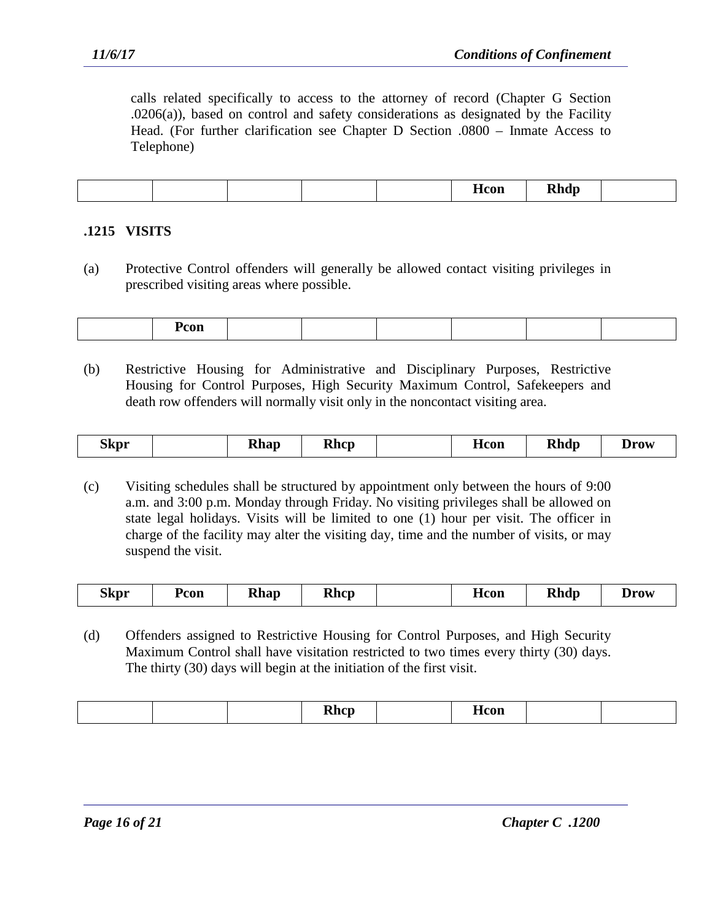calls related specifically to access to the attorney of record (Chapter G Section .0206(a)), based on control and safety considerations as designated by the Facility Head. (For further clarification see Chapter D Section .0800 – Inmate Access to Telephone)

|  |  | $\sim$<br>- 77 | .ור<br><b>TAIL</b> |  |
|--|--|----------------|--------------------|--|
|  |  |                |                    |  |

## **.1215 VISITS**

(a) Protective Control offenders will generally be allowed contact visiting privileges in prescribed visiting areas where possible.

| $\sim$ $\sim$ $\sim$<br>соп |
|-----------------------------|
|-----------------------------|

(b) Restrictive Housing for Administrative and Disciplinary Purposes, Restrictive Housing for Control Purposes, High Security Maximum Control, Safekeepers and death row offenders will normally visit only in the noncontact visiting area.

| Acon<br><b>Ahap</b><br>- | <b>Skpr</b> |  | <b>Rhcp</b> |  |  | <b>Rhdp</b> | Jrow |
|--------------------------|-------------|--|-------------|--|--|-------------|------|
|--------------------------|-------------|--|-------------|--|--|-------------|------|

(c) Visiting schedules shall be structured by appointment only between the hours of 9:00 a.m. and 3:00 p.m. Monday through Friday. No visiting privileges shall be allowed on state legal holidays. Visits will be limited to one (1) hour per visit. The officer in charge of the facility may alter the visiting day, time and the number of visits, or may suspend the visit.

| LICON<br>Allup<br>- | Skpr | Pcon | <b>Rhap</b> | <b>Rhcp</b> |  | <b>AA</b> | つんふっ | $\mathbf{m}$ |
|---------------------|------|------|-------------|-------------|--|-----------|------|--------------|
|---------------------|------|------|-------------|-------------|--|-----------|------|--------------|

(d) Offenders assigned to Restrictive Housing for Control Purposes, and High Security Maximum Control shall have visitation restricted to two times every thirty (30) days. The thirty (30) days will begin at the initiation of the first visit.

| ли<br>$\overline{\phantom{a}}$<br>____ |
|----------------------------------------|
|----------------------------------------|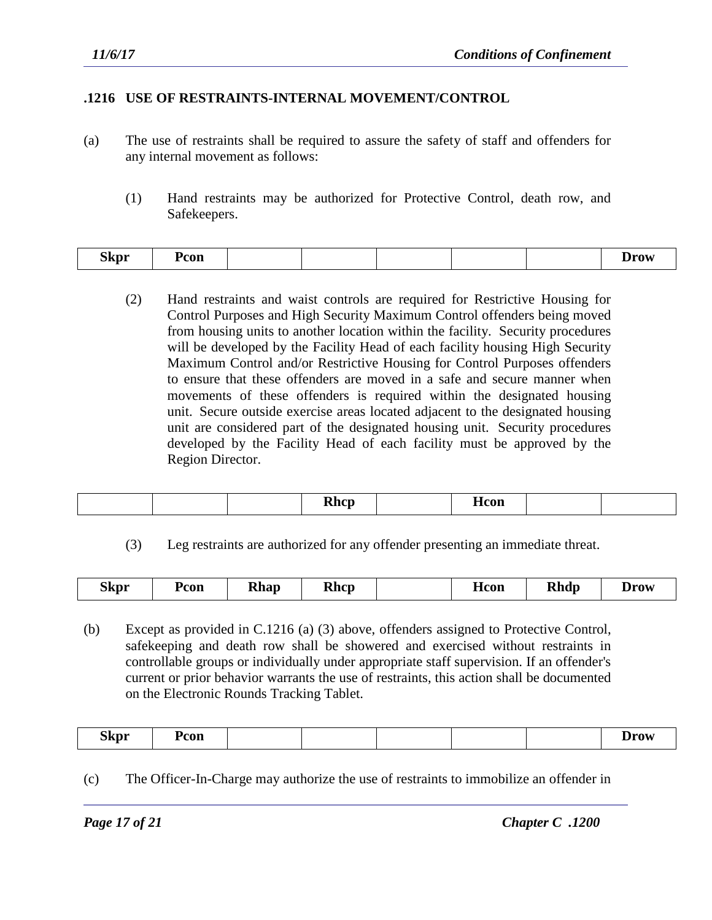## **.1216 USE OF RESTRAINTS-INTERNAL MOVEMENT/CONTROL**

- (a) The use of restraints shall be required to assure the safety of staff and offenders for any internal movement as follows:
	- (1) Hand restraints may be authorized for Protective Control, death row, and Safekeepers.

|  | $\sim$<br><b>Skpr</b><br>Pcon<br>- |  |  |  |  | .<br>$\sim$ |
|--|------------------------------------|--|--|--|--|-------------|
|--|------------------------------------|--|--|--|--|-------------|

(2) Hand restraints and waist controls are required for Restrictive Housing for Control Purposes and High Security Maximum Control offenders being moved from housing units to another location within the facility. Security procedures will be developed by the Facility Head of each facility housing High Security Maximum Control and/or Restrictive Housing for Control Purposes offenders to ensure that these offenders are moved in a safe and secure manner when movements of these offenders is required within the designated housing unit. Secure outside exercise areas located adjacent to the designated housing unit are considered part of the designated housing unit. Security procedures developed by the Facility Head of each facility must be approved by the Region Director.

|  | <b>Rhcp</b> |  | $- -$<br>$- - - -$<br>TTCOIL |  |  |
|--|-------------|--|------------------------------|--|--|
|--|-------------|--|------------------------------|--|--|

(3) Leg restraints are authorized for any offender presenting an immediate threat.

| <b>Skpr</b> | Pcon | Rhap | <b>Rhcp</b> |  | Hcon | <b>Rhdp</b> | <b>Drow</b> |
|-------------|------|------|-------------|--|------|-------------|-------------|
|-------------|------|------|-------------|--|------|-------------|-------------|

(b) Except as provided in C.1216 (a) (3) above, offenders assigned to Protective Control, safekeeping and death row shall be showered and exercised without restraints in controllable groups or individually under appropriate staff supervision. If an offender's current or prior behavior warrants the use of restraints, this action shall be documented on the Electronic Rounds Tracking Tablet.

| <b>Skpr</b><br>- | Pcon |  |  |  |  |  | 1raw<br>$- - -$ |
|------------------|------|--|--|--|--|--|-----------------|
|------------------|------|--|--|--|--|--|-----------------|

(c) The Officer-In-Charge may authorize the use of restraints to immobilize an offender in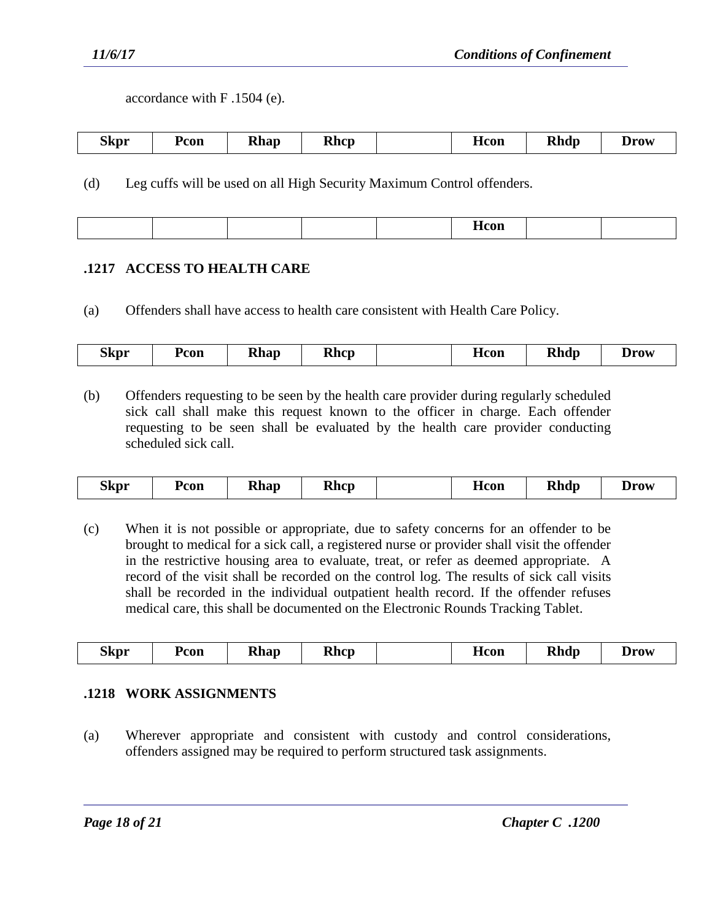accordance with F .1504 (e).

| ~-<br>Skpr | Pcon | <b>Rhap</b><br>- | <b>Khcp</b> |  | <b>H</b> con | <b>Rhdp</b> | Drov |
|------------|------|------------------|-------------|--|--------------|-------------|------|
|------------|------|------------------|-------------|--|--------------|-------------|------|

(d) Leg cuffs will be used on all High Security Maximum Control offenders.

|  | <b>H</b> con |  |  |
|--|--------------|--|--|
|--|--------------|--|--|

## **.1217 ACCESS TO HEALTH CARE**

(a) Offenders shall have access to health care consistent with Health Care Policy.

| Skpr | Pcon | <b>Rhap</b> | <b>Rhcp</b> |  | <b>H</b> con | <b>Rhdp</b> | Drow |
|------|------|-------------|-------------|--|--------------|-------------|------|
|------|------|-------------|-------------|--|--------------|-------------|------|

(b) Offenders requesting to be seen by the health care provider during regularly scheduled sick call shall make this request known to the officer in charge. Each offender requesting to be seen shall be evaluated by the health care provider conducting scheduled sick call.

| <b>Skpr</b><br><b>Rhdp</b><br>Rhcp<br>Pcon<br><b>H</b> con<br>∡hap<br>Drov |
|----------------------------------------------------------------------------|
|----------------------------------------------------------------------------|

(c) When it is not possible or appropriate, due to safety concerns for an offender to be brought to medical for a sick call, a registered nurse or provider shall visit the offender in the restrictive housing area to evaluate, treat, or refer as deemed appropriate. A record of the visit shall be recorded on the control log. The results of sick call visits shall be recorded in the individual outpatient health record. If the offender refuses medical care, this shall be documented on the Electronic Rounds Tracking Tablet.

|  | $\sim$<br>.5kpr | Pcon | 'han<br>$- - - -$ | <b>Rhcp</b> |  | <b>H</b> con | hdm<br><b>AMILLE</b> | <b>Prow</b><br>$\mathbf{v}$ is $\mathbf{v}$ . |
|--|-----------------|------|-------------------|-------------|--|--------------|----------------------|-----------------------------------------------|
|--|-----------------|------|-------------------|-------------|--|--------------|----------------------|-----------------------------------------------|

## **.1218 WORK ASSIGNMENTS**

(a) Wherever appropriate and consistent with custody and control considerations, offenders assigned may be required to perform structured task assignments.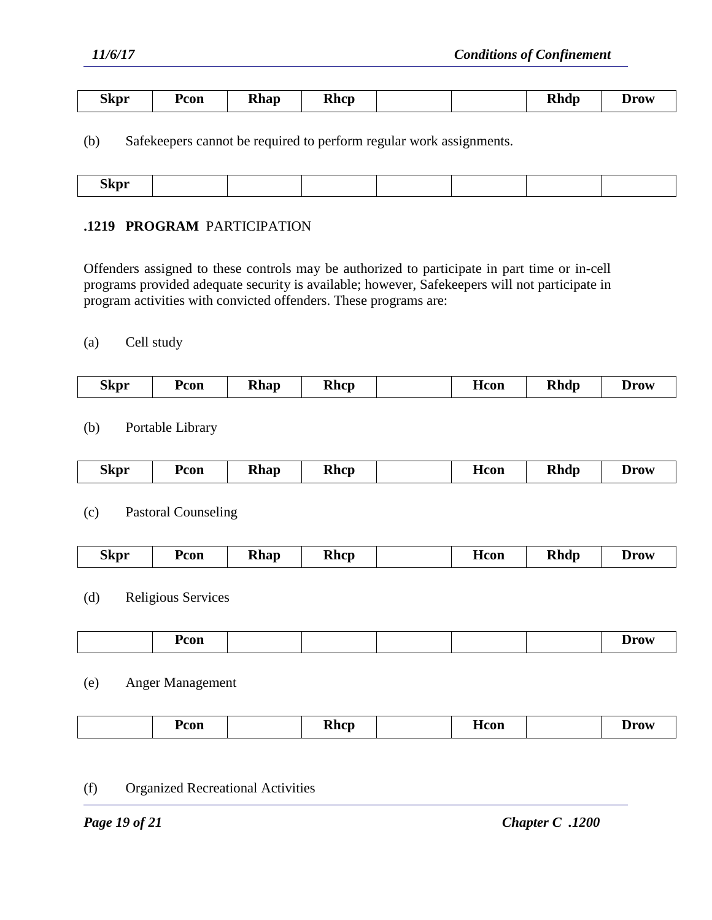| Skpr | Pcon | <b>Rhap</b><br>- | <b>Rhcp</b> |  |  | <b>Rhdp</b> | Jrow |
|------|------|------------------|-------------|--|--|-------------|------|
|------|------|------------------|-------------|--|--|-------------|------|

(b) Safekeepers cannot be required to perform regular work assignments.

| <b>Skpr</b> |
|-------------|
|-------------|

### **.1219 PROGRAM** PARTICIPATION

Offenders assigned to these controls may be authorized to participate in part time or in-cell programs provided adequate security is available; however, Safekeepers will not participate in program activities with convicted offenders. These programs are:

#### (a) Cell study

| ---<br>Skpr | Pcon | <b>Rhap</b> | <b>Rhcp</b> |  | <b>H</b> con | <b>Rhdp</b> | <b>Drow</b> |
|-------------|------|-------------|-------------|--|--------------|-------------|-------------|
|-------------|------|-------------|-------------|--|--------------|-------------|-------------|

## (b) Portable Library

| Skpr | Pcon | Rhap | <b>Rhcp</b> |  | Hcon | <b>Rhdp</b> | Drow |
|------|------|------|-------------|--|------|-------------|------|
|------|------|------|-------------|--|------|-------------|------|

#### (c) Pastoral Counseling

| $\sim$<br><b>Rhdp</b><br>Rhcp<br>Skpr<br>Pcon<br><b>Rhap</b><br>Hcon<br><b>Drow</b> |
|-------------------------------------------------------------------------------------|
|-------------------------------------------------------------------------------------|

## (d) Religious Services

| Pcon<br>$\sim$ $\sim$ $\sim$ $\sim$ $\sim$<br>.<br>ю.<br>$  -$ |  |  |  |  |  |  |  |  |
|----------------------------------------------------------------|--|--|--|--|--|--|--|--|
|----------------------------------------------------------------|--|--|--|--|--|--|--|--|

#### (e) Anger Management

| Pcon | <b>Rhcp</b> | --<br><b>H</b> con | Drow<br>___ |
|------|-------------|--------------------|-------------|
|      |             |                    |             |

#### (f) Organized Recreational Activities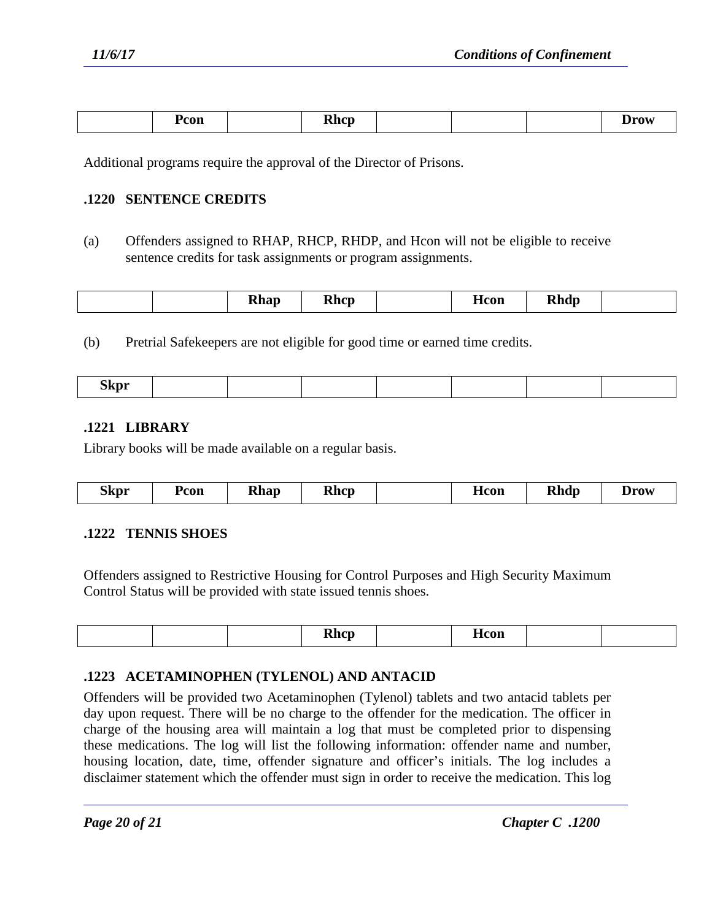| Pcon | $\mathbf{h}_{\mathbf{a}}$<br>∼<br>тин |  | <b>Irov</b><br>$  -$ |
|------|---------------------------------------|--|----------------------|
|      |                                       |  |                      |

Additional programs require the approval of the Director of Prisons.

### **.1220 SENTENCE CREDITS**

(a) Offenders assigned to RHAP, RHCP, RHDP, and Hcon will not be eligible to receive sentence credits for task assignments or program assignments.

|  |  | DI.<br>khap<br>- | Rhcr |  | <b>non</b><br><b>LICOIL</b> | ,,,,,,<br>Anar |  |
|--|--|------------------|------|--|-----------------------------|----------------|--|
|--|--|------------------|------|--|-----------------------------|----------------|--|

(b) Pretrial Safekeepers are not eligible for good time or earned time credits.

| Skpr<br>- |  |  |  |  |
|-----------|--|--|--|--|

## **.1221 LIBRARY**

Library books will be made available on a regular basis.

| ---<br>₹hcn<br>Skpr<br>con<br><b>Khap</b><br>ттігі | <b>Rhdp</b><br><b>_1COD</b><br>Drov |
|----------------------------------------------------|-------------------------------------|
|----------------------------------------------------|-------------------------------------|

### **.1222 TENNIS SHOES**

Offenders assigned to Restrictive Housing for Control Purposes and High Security Maximum Control Status will be provided with state issued tennis shoes.

|  |  |  | $-$ |  |  |  |  |
|--|--|--|-----|--|--|--|--|
|--|--|--|-----|--|--|--|--|

### **.1223 ACETAMINOPHEN (TYLENOL) AND ANTACID**

Offenders will be provided two Acetaminophen (Tylenol) tablets and two antacid tablets per day upon request. There will be no charge to the offender for the medication. The officer in charge of the housing area will maintain a log that must be completed prior to dispensing these medications. The log will list the following information: offender name and number, housing location, date, time, offender signature and officer's initials. The log includes a disclaimer statement which the offender must sign in order to receive the medication. This log